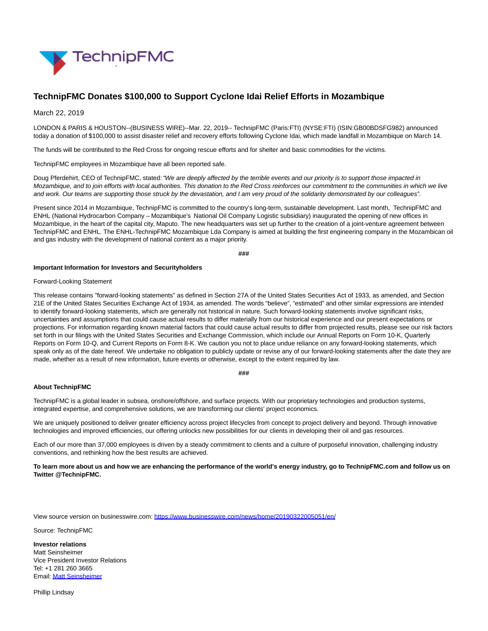

# **TechnipFMC Donates \$100,000 to Support Cyclone Idai Relief Efforts in Mozambique**

### March 22, 2019

LONDON & PARIS & HOUSTON--(BUSINESS WIRE)--Mar. 22, 2019-- TechnipFMC (Paris:FTI) (NYSE:FTI) (ISIN:GB00BDSFG982) announced today a donation of \$100,000 to assist disaster relief and recovery efforts following Cyclone Idai, which made landfall in Mozambique on March 14.

The funds will be contributed to the Red Cross for ongoing rescue efforts and for shelter and basic commodities for the victims.

TechnipFMC employees in Mozambique have all been reported safe.

Doug Pferdehirt, CEO of TechnipFMC, stated: "We are deeply affected by the terrible events and our priority is to support those impacted in Mozambique, and to join efforts with local authorities. This donation to the Red Cross reinforces our commitment to the communities in which we live and work. Our teams are supporting those struck by the devastation, and I am very proud of the solidarity demonstrated by our colleagues".

Present since 2014 in Mozambique, TechnipFMC is committed to the country's long-term, sustainable development. Last month, TechnipFMC and ENHL (National Hydrocarbon Company – Mozambique's National Oil Company Logistic subsidiary) inaugurated the opening of new offices in Mozambique, in the heart of the capital city, Maputo. The new headquarters was set up further to the creation of a joint-venture agreement between TechnipFMC and ENHL. The ENHL-TechnipFMC Mozambique Lda Company is aimed at building the first engineering company in the Mozambican oil and gas industry with the development of national content as a major priority.

**###**

#### **Important Information for Investors and Securityholders**

#### Forward-Looking Statement

This release contains "forward-looking statements" as defined in Section 27A of the United States Securities Act of 1933, as amended, and Section 21E of the United States Securities Exchange Act of 1934, as amended. The words "believe", "estimated" and other similar expressions are intended to identify forward-looking statements, which are generally not historical in nature. Such forward-looking statements involve significant risks, uncertainties and assumptions that could cause actual results to differ materially from our historical experience and our present expectations or projections. For information regarding known material factors that could cause actual results to differ from projected results, please see our risk factors set forth in our filings with the United States Securities and Exchange Commission, which include our Annual Reports on Form 10-K, Quarterly Reports on Form 10-Q, and Current Reports on Form 8-K. We caution you not to place undue reliance on any forward-looking statements, which speak only as of the date hereof. We undertake no obligation to publicly update or revise any of our forward-looking statements after the date they are made, whether as a result of new information, future events or otherwise, except to the extent required by law.

#### **###**

## **About TechnipFMC**

TechnipFMC is a global leader in subsea, onshore/offshore, and surface projects. With our proprietary technologies and production systems, integrated expertise, and comprehensive solutions, we are transforming our clients' project economics.

We are uniquely positioned to deliver greater efficiency across project lifecycles from concept to project delivery and beyond. Through innovative technologies and improved efficiencies, our offering unlocks new possibilities for our clients in developing their oil and gas resources.

Each of our more than 37,000 employees is driven by a steady commitment to clients and a culture of purposeful innovation, challenging industry conventions, and rethinking how the best results are achieved.

**To learn more about us and how we are enhancing the performance of the world's energy industry, go to TechnipFMC.com and follow us on Twitter @TechnipFMC.**

View source version on businesswire.com:<https://www.businesswire.com/news/home/20190322005051/en/>

Source: TechnipFMC

**Investor relations** Matt Seinsheimer Vice President Investor Relations Tel: +1 281 260 3665 Email[: Matt Seinsheimer](mailto:InvestorRelations@TechnipFMC.com)

Phillip Lindsay